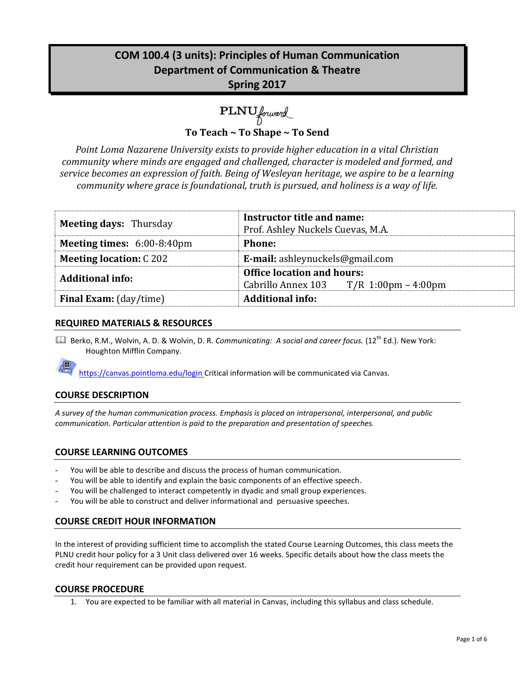# **COM 100.4 (3 units): Principles of Human Communication Department of Communication & Theatre Spring 2017**

PLNU forward

**To Teach ~ To Shape ~ To Send**

*Point Loma Nazarene University exists to provide higher education in a vital Christian community where minds are engaged and challenged, character is modeled and formed, and service becomes an expression of faith. Being of Wesleyan heritage, we aspire to be a learning community where grace is foundational, truth is pursued, and holiness is a way of life.*

| <b>Meeting days: Thursday</b>               | Instructor title and name:<br>Prof. Ashley Nuckels Cuevas, M.A. |  |  |
|---------------------------------------------|-----------------------------------------------------------------|--|--|
| <b>Meeting times:</b> $6:00-8:40 \text{pm}$ | <b>Phone:</b>                                                   |  |  |
| <b>Meeting location: C202</b>               | E-mail: ashleynuckels@gmail.com                                 |  |  |
| <b>Additional info:</b>                     | <b>Office location and hours:</b>                               |  |  |
|                                             | Cabrillo Annex 103 $T/R$ 1:00pm – 4:00pm                        |  |  |
| <b>Final Exam:</b> (day/time)               | <b>Additional info:</b>                                         |  |  |

## **REQUIRED MATERIALS & RESOURCES**

**Quart Berko, R.M., Wolvin, A. D. & Wolvin, D. R. Communicating: A social and career focus. (12<sup>th</sup> Ed.). New York:** Houghton Mifflin Company.

https://canvas.pointloma.edu/login Critical information will be communicated via Canvas.

# **COURSE DESCRIPTION**

*A survey of the human communication process. Emphasis is placed on intrapersonal, interpersonal, and public communication. Particular attention is paid to the preparation and presentation of speeches.*

### **COURSE LEARNING OUTCOMES**

- You will be able to describe and discuss the process of human communication.
- You will be able to identify and explain the basic components of an effective speech.
- You will be challenged to interact competently in dyadic and small group experiences.
- You will be able to construct and deliver informational and persuasive speeches.

### **COURSE CREDIT HOUR INFORMATION**

In the interest of providing sufficient time to accomplish the stated Course Learning Outcomes, this class meets the PLNU credit hour policy for a 3 Unit class delivered over 16 weeks. Specific details about how the class meets the credit hour requirement can be provided upon request.

### **COURSE PROCEDURE**

1. You are expected to be familiar with all material in Canvas, including this syllabus and class schedule.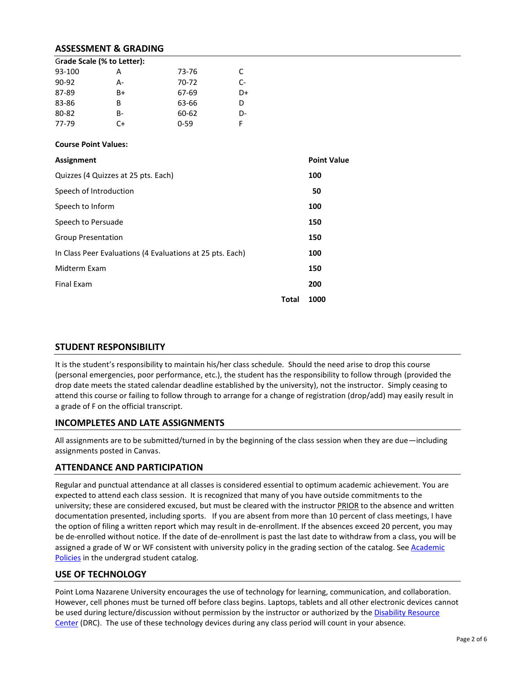### **ASSESSMENT & GRADING**

| Grade Scale (% to Letter): |    |          |    |  |  |
|----------------------------|----|----------|----|--|--|
| 93-100                     | А  | 73-76    | C. |  |  |
| $90-92$                    | А- | 70-72    | C- |  |  |
| 87-89                      | B+ | 67-69    | D+ |  |  |
| 83-86                      | B  | 63-66    | D  |  |  |
| 80-82                      | B- | 60-62    | D- |  |  |
| 77-79                      | C+ | $0 - 59$ | F  |  |  |

#### **Course Point Values:**

| Assignment                                                |       | <b>Point Value</b> |
|-----------------------------------------------------------|-------|--------------------|
| Quizzes (4 Quizzes at 25 pts. Each)                       |       | 100                |
| Speech of Introduction                                    |       | 50                 |
| Speech to Inform                                          |       | 100                |
| Speech to Persuade                                        |       | 150                |
| <b>Group Presentation</b>                                 |       | 150                |
| In Class Peer Evaluations (4 Evaluations at 25 pts. Each) |       | 100                |
| Midterm Exam                                              |       | 150                |
| Final Exam                                                |       | 200                |
|                                                           | Total | 1000               |

### **STUDENT RESPONSIBILITY**

It is the student's responsibility to maintain his/her class schedule. Should the need arise to drop this course (personal emergencies, poor performance, etc.), the student has the responsibility to follow through (provided the drop date meets the stated calendar deadline established by the university), not the instructor. Simply ceasing to attend this course or failing to follow through to arrange for a change of registration (drop/add) may easily result in a grade of F on the official transcript.

### **INCOMPLETES AND LATE ASSIGNMENTS**

All assignments are to be submitted/turned in by the beginning of the class session when they are due—including assignments posted in Canvas.

### **ATTENDANCE AND PARTICIPATION**

Regular and punctual attendance at all classes is considered essential to optimum academic achievement. You are expected to attend each class session. It is recognized that many of you have outside commitments to the university; these are considered excused, but must be cleared with the instructor PRIOR to the absence and written documentation presented, including sports. If you are absent from more than 10 percent of class meetings, I have the option of filing a written report which may result in de-enrollment. If the absences exceed 20 percent, you may be de-enrolled without notice. If the date of de-enrollment is past the last date to withdraw from a class, you will be assigned a grade of W or WF consistent with university policy in the grading section of the catalog. See Academic [Policies](http://www.pointloma.edu/experience/academics/catalogs/undergraduate-catalog/point-loma-education/academic-policies) in the undergrad student catalog.

### **USE OF TECHNOLOGY**

Point Loma Nazarene University encourages the use of technology for learning, communication, and collaboration. However, cell phones must be turned off before class begins. Laptops, tablets and all other electronic devices cannot be used during lecture/discussion without permission by the instructor or authorized by the Disability Resource [Center](http://www.pointloma.edu/experience/offices/administrative-offices/academic-advising-office/disability-resource-center) (DRC). The use of these technology devices during any class period will count in your absence.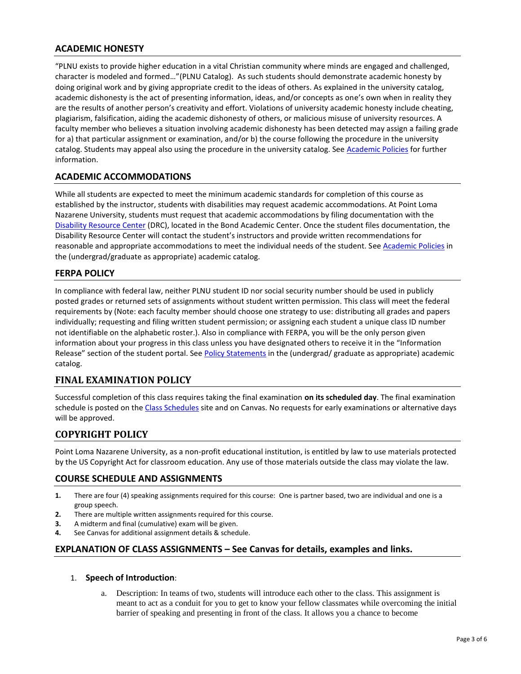# **ACADEMIC HONESTY**

"PLNU exists to provide higher education in a vital Christian community where minds are engaged and challenged, character is modeled and formed…"(PLNU Catalog). As such students should demonstrate academic honesty by doing original work and by giving appropriate credit to the ideas of others. As explained in the university catalog, academic dishonesty is the act of presenting information, ideas, and/or concepts as one's own when in reality they are the results of another person's creativity and effort. Violations of university academic honesty include cheating, plagiarism, falsification, aiding the academic dishonesty of others, or malicious misuse of university resources. A faculty member who believes a situation involving academic dishonesty has been detected may assign a failing grade for a) that particular assignment or examination, and/or b) the course following the procedure in the university catalog. Students may appeal also using the procedure in the university catalog. Se[e Academic Policies](http://www.pointloma.edu/experience/academics/catalogs/undergraduate-catalog/point-loma-education/academic-policies) for further information.

## **ACADEMIC ACCOMMODATIONS**

While all students are expected to meet the minimum academic standards for completion of this course as established by the instructor, students with disabilities may request academic accommodations. At Point Loma Nazarene University, students must request that academic accommodations by filing documentation with the [Disability Resource Center](http://www.pointloma.edu/experience/offices/administrative-offices/academic-advising-office/disability-resource-center) (DRC), located in the Bond Academic Center. Once the student files documentation, the Disability Resource Center will contact the student's instructors and provide written recommendations for reasonable and appropriate accommodations to meet the individual needs of the student. Se[e Academic Policies](http://www.pointloma.edu/experience/academics/catalogs/undergraduate-catalog/point-loma-education/academic-policies) in the (undergrad/graduate as appropriate) academic catalog.

## **FERPA POLICY**

In compliance with federal law, neither PLNU student ID nor social security number should be used in publicly posted grades or returned sets of assignments without student written permission. This class will meet the federal requirements by (Note: each faculty member should choose one strategy to use: distributing all grades and papers individually; requesting and filing written student permission; or assigning each student a unique class ID number not identifiable on the alphabetic roster.). Also in compliance with FERPA, you will be the only person given information about your progress in this class unless you have designated others to receive it in the "Information Release" section of the student portal. See [Policy Statements](http://www.pointloma.edu/experience/academics/catalogs/undergraduate-catalog/policy-statements) in the (undergrad/ graduate as appropriate) academic catalog.

# **FINAL EXAMINATION POLICY**

Successful completion of this class requires taking the final examination **on its scheduled day**. The final examination schedule is posted on th[e Class Schedules](http://www.pointloma.edu/experience/academics/class-schedules) site and on Canvas. No requests for early examinations or alternative days will be approved.

### **COPYRIGHT POLICY**

Point Loma Nazarene University, as a non-profit educational institution, is entitled by law to use materials protected by the US Copyright Act for classroom education. Any use of those materials outside the class may violate the law.

### **COURSE SCHEDULE AND ASSIGNMENTS**

- **1.** There are four (4) speaking assignments required for this course: One is partner based, two are individual and one is a group speech.
- **2.** There are multiple written assignments required for this course.
- **3.** A midterm and final (cumulative) exam will be given.
- **4.** See Canvas for additional assignment details & schedule.

### **EXPLANATION OF CLASS ASSIGNMENTS – See Canvas for details, examples and links.**

### 1. **Speech of Introduction**:

a. Description: In teams of two, students will introduce each other to the class. This assignment is meant to act as a conduit for you to get to know your fellow classmates while overcoming the initial barrier of speaking and presenting in front of the class. It allows you a chance to become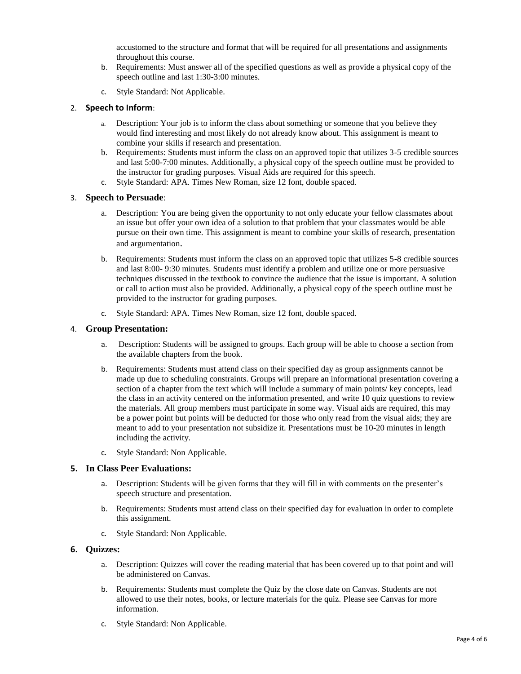accustomed to the structure and format that will be required for all presentations and assignments throughout this course.

- b. Requirements: Must answer all of the specified questions as well as provide a physical copy of the speech outline and last 1:30-3:00 minutes.
- c. Style Standard: Not Applicable.

#### 2. **Speech to Inform**:

- a. Description: Your job is to inform the class about something or someone that you believe they would find interesting and most likely do not already know about. This assignment is meant to combine your skills if research and presentation.
- b. Requirements: Students must inform the class on an approved topic that utilizes 3-5 credible sources and last 5:00-7:00 minutes. Additionally, a physical copy of the speech outline must be provided to the instructor for grading purposes. Visual Aids are required for this speech.
- c. Style Standard: APA. Times New Roman, size 12 font, double spaced.

#### 3. **Speech to Persuade**:

- a. Description: You are being given the opportunity to not only educate your fellow classmates about an issue but offer your own idea of a solution to that problem that your classmates would be able pursue on their own time. This assignment is meant to combine your skills of research, presentation and argumentation.
- b. Requirements: Students must inform the class on an approved topic that utilizes 5-8 credible sources and last 8:00- 9:30 minutes. Students must identify a problem and utilize one or more persuasive techniques discussed in the textbook to convince the audience that the issue is important. A solution or call to action must also be provided. Additionally, a physical copy of the speech outline must be provided to the instructor for grading purposes.
- c. Style Standard: APA. Times New Roman, size 12 font, double spaced.

#### 4. **Group Presentation:**

- a. Description: Students will be assigned to groups. Each group will be able to choose a section from the available chapters from the book.
- b. Requirements: Students must attend class on their specified day as group assignments cannot be made up due to scheduling constraints. Groups will prepare an informational presentation covering a section of a chapter from the text which will include a summary of main points/ key concepts, lead the class in an activity centered on the information presented, and write 10 quiz questions to review the materials. All group members must participate in some way. Visual aids are required, this may be a power point but points will be deducted for those who only read from the visual aids; they are meant to add to your presentation not subsidize it. Presentations must be 10-20 minutes in length including the activity.
- c. Style Standard: Non Applicable.

### **5. In Class Peer Evaluations:**

- a. Description: Students will be given forms that they will fill in with comments on the presenter's speech structure and presentation.
- b. Requirements: Students must attend class on their specified day for evaluation in order to complete this assignment.
- c. Style Standard: Non Applicable.

#### **6. Quizzes:**

- a. Description: Quizzes will cover the reading material that has been covered up to that point and will be administered on Canvas.
- b. Requirements: Students must complete the Quiz by the close date on Canvas. Students are not allowed to use their notes, books, or lecture materials for the quiz. Please see Canvas for more information.
- c. Style Standard: Non Applicable.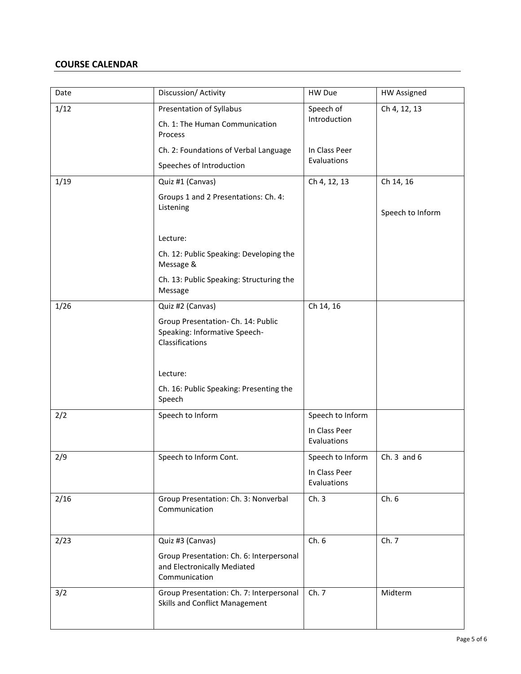## **COURSE CALENDAR**

| Date | Discussion/ Activity                                                                                         | HW Due                       | <b>HW Assigned</b> |
|------|--------------------------------------------------------------------------------------------------------------|------------------------------|--------------------|
| 1/12 | Presentation of Syllabus<br>Ch. 1: The Human Communication<br>Process                                        | Speech of<br>Introduction    | Ch 4, 12, 13       |
|      | Ch. 2: Foundations of Verbal Language<br>Speeches of Introduction                                            | In Class Peer<br>Evaluations |                    |
| 1/19 | Quiz #1 (Canvas)                                                                                             | Ch 4, 12, 13                 | Ch 14, 16          |
|      | Groups 1 and 2 Presentations: Ch. 4:<br>Listening                                                            |                              | Speech to Inform   |
|      | Lecture:                                                                                                     |                              |                    |
|      | Ch. 12: Public Speaking: Developing the<br>Message &                                                         |                              |                    |
|      | Ch. 13: Public Speaking: Structuring the<br>Message                                                          |                              |                    |
| 1/26 | Quiz #2 (Canvas)                                                                                             | Ch 14, 16                    |                    |
|      | Group Presentation- Ch. 14: Public<br>Speaking: Informative Speech-<br>Classifications                       |                              |                    |
|      | Lecture:                                                                                                     |                              |                    |
|      | Ch. 16: Public Speaking: Presenting the<br>Speech                                                            |                              |                    |
| 2/2  | Speech to Inform                                                                                             | Speech to Inform             |                    |
|      |                                                                                                              | In Class Peer<br>Evaluations |                    |
| 2/9  | Speech to Inform Cont.                                                                                       | Speech to Inform             | Ch. $3$ and $6$    |
|      |                                                                                                              | In Class Peer<br>Evaluations |                    |
| 2/16 | Group Presentation: Ch. 3: Nonverbal<br>Communication                                                        | Ch.3                         | Ch.6               |
| 2/23 | Quiz #3 (Canvas)<br>Group Presentation: Ch. 6: Interpersonal<br>and Electronically Mediated<br>Communication | Ch.6                         | Ch. 7              |
| 3/2  | Group Presentation: Ch. 7: Interpersonal<br>Skills and Conflict Management                                   | Ch. 7                        | Midterm            |